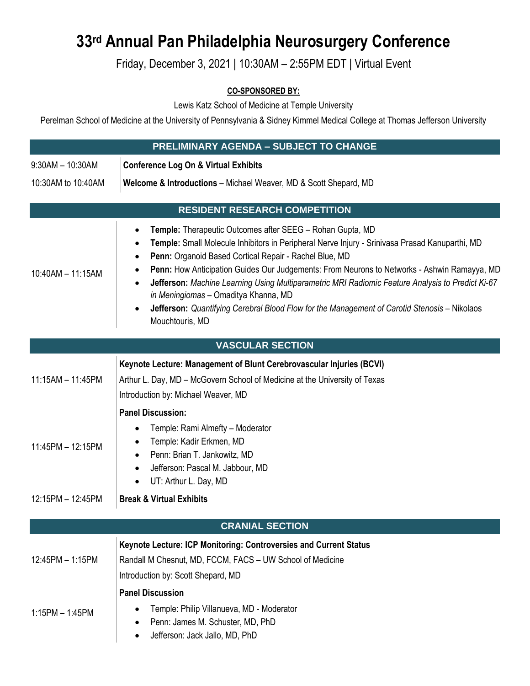## **33rd Annual Pan Philadelphia Neurosurgery Conference**

## Friday, December 3, 2021 | 10:30AM – 2:55PM EDT | Virtual Event

## **CO-SPONSORED BY:**

Lewis Katz School of Medicine at Temple University

Perelman School of Medicine at the University of Pennsylvania & Sidney Kimmel Medical College at Thomas Jefferson University

| <b>PRELIMINARY AGENDA - SUBJECT TO CHANGE</b>                     |                                                                                                                                                                                                                                                                                                                                                                                                                                                                                                                                                                                                       |  |
|-------------------------------------------------------------------|-------------------------------------------------------------------------------------------------------------------------------------------------------------------------------------------------------------------------------------------------------------------------------------------------------------------------------------------------------------------------------------------------------------------------------------------------------------------------------------------------------------------------------------------------------------------------------------------------------|--|
|                                                                   |                                                                                                                                                                                                                                                                                                                                                                                                                                                                                                                                                                                                       |  |
| $9:30AM - 10:30AM$                                                | <b>Conference Log On &amp; Virtual Exhibits</b>                                                                                                                                                                                                                                                                                                                                                                                                                                                                                                                                                       |  |
| 10:30AM to 10:40AM                                                | Welcome & Introductions - Michael Weaver, MD & Scott Shepard, MD                                                                                                                                                                                                                                                                                                                                                                                                                                                                                                                                      |  |
| <b>RESIDENT RESEARCH COMPETITION</b>                              |                                                                                                                                                                                                                                                                                                                                                                                                                                                                                                                                                                                                       |  |
| 10:40AM - 11:15AM                                                 | Temple: Therapeutic Outcomes after SEEG - Rohan Gupta, MD<br>٠<br>Temple: Small Molecule Inhibitors in Peripheral Nerve Injury - Srinivasa Prasad Kanuparthi, MD<br>Penn: Organoid Based Cortical Repair - Rachel Blue, MD<br>$\bullet$<br>Penn: How Anticipation Guides Our Judgements: From Neurons to Networks - Ashwin Ramayya, MD<br>Jefferson: Machine Learning Using Multiparametric MRI Radiomic Feature Analysis to Predict Ki-67<br>in Meningiomas - Omaditya Khanna, MD<br>Jefferson: Quantifying Cerebral Blood Flow for the Management of Carotid Stenosis - Nikolaos<br>Mouchtouris, MD |  |
| <b>VASCULAR SECTION</b>                                           |                                                                                                                                                                                                                                                                                                                                                                                                                                                                                                                                                                                                       |  |
| $11:15AM - 11:45PM$                                               | Keynote Lecture: Management of Blunt Cerebrovascular Injuries (BCVI)<br>Arthur L. Day, MD - McGovern School of Medicine at the University of Texas<br>Introduction by: Michael Weaver, MD                                                                                                                                                                                                                                                                                                                                                                                                             |  |
| <b>Panel Discussion:</b>                                          |                                                                                                                                                                                                                                                                                                                                                                                                                                                                                                                                                                                                       |  |
| 11:45PM - 12:15PM                                                 | Temple: Rami Almefty - Moderator<br>Temple: Kadir Erkmen, MD<br>Penn: Brian T. Jankowitz, MD<br>$\bullet$<br>Jefferson: Pascal M. Jabbour, MD<br>UT: Arthur L. Day, MD                                                                                                                                                                                                                                                                                                                                                                                                                                |  |
| 12:15PM - 12:45PM                                                 | <b>Break &amp; Virtual Exhibits</b>                                                                                                                                                                                                                                                                                                                                                                                                                                                                                                                                                                   |  |
| <b>CRANIAL SECTION</b>                                            |                                                                                                                                                                                                                                                                                                                                                                                                                                                                                                                                                                                                       |  |
| Keynote Lecture: ICP Monitoring: Controversies and Current Status |                                                                                                                                                                                                                                                                                                                                                                                                                                                                                                                                                                                                       |  |
| 12:45PM - 1:15PM                                                  | Randall M Chesnut, MD, FCCM, FACS - UW School of Medicine<br>Introduction by: Scott Shepard, MD                                                                                                                                                                                                                                                                                                                                                                                                                                                                                                       |  |
| <b>Panel Discussion</b>                                           |                                                                                                                                                                                                                                                                                                                                                                                                                                                                                                                                                                                                       |  |
| $1:15PM - 1:45PM$                                                 | Temple: Philip Villanueva, MD - Moderator<br>Penn: James M. Schuster, MD, PhD<br>Jefferson: Jack Jallo, MD, PhD<br>٠                                                                                                                                                                                                                                                                                                                                                                                                                                                                                  |  |